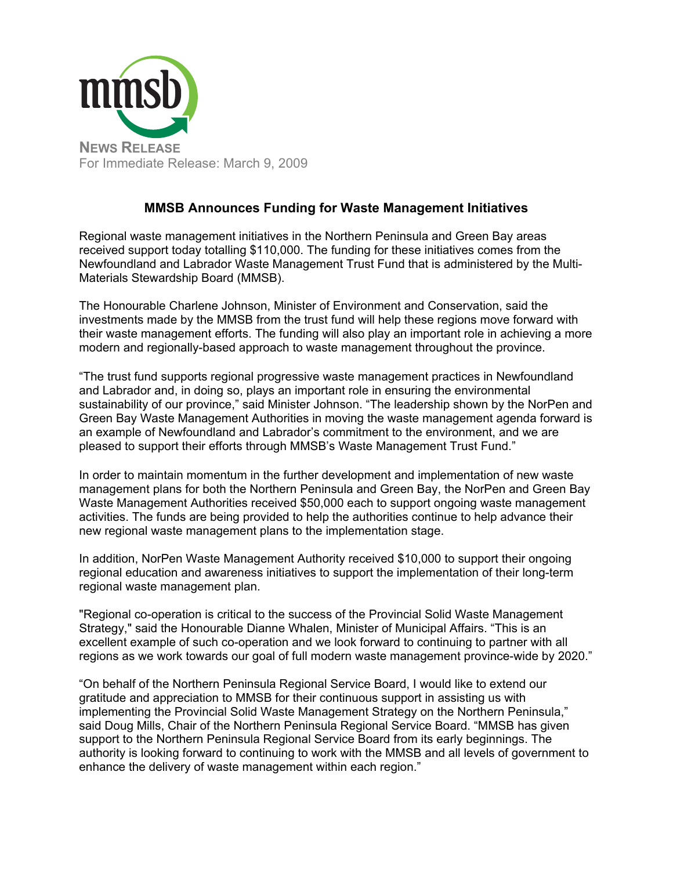

### **MMSB Announces Funding for Waste Management Initiatives**

Regional waste management initiatives in the Northern Peninsula and Green Bay areas received support today totalling \$110,000. The funding for these initiatives comes from the Newfoundland and Labrador Waste Management Trust Fund that is administered by the Multi-Materials Stewardship Board (MMSB).

The Honourable Charlene Johnson, Minister of Environment and Conservation, said the investments made by the MMSB from the trust fund will help these regions move forward with their waste management efforts. The funding will also play an important role in achieving a more modern and regionally-based approach to waste management throughout the province.

"The trust fund supports regional progressive waste management practices in Newfoundland and Labrador and, in doing so, plays an important role in ensuring the environmental sustainability of our province," said Minister Johnson. "The leadership shown by the NorPen and Green Bay Waste Management Authorities in moving the waste management agenda forward is an example of Newfoundland and Labrador's commitment to the environment, and we are pleased to support their efforts through MMSB's Waste Management Trust Fund."

In order to maintain momentum in the further development and implementation of new waste management plans for both the Northern Peninsula and Green Bay, the NorPen and Green Bay Waste Management Authorities received \$50,000 each to support ongoing waste management activities. The funds are being provided to help the authorities continue to help advance their new regional waste management plans to the implementation stage.

In addition, NorPen Waste Management Authority received \$10,000 to support their ongoing regional education and awareness initiatives to support the implementation of their long-term regional waste management plan.

"Regional co-operation is critical to the success of the Provincial Solid Waste Management Strategy," said the Honourable Dianne Whalen, Minister of Municipal Affairs. "This is an excellent example of such co-operation and we look forward to continuing to partner with all regions as we work towards our goal of full modern waste management province-wide by 2020."

"On behalf of the Northern Peninsula Regional Service Board, I would like to extend our gratitude and appreciation to MMSB for their continuous support in assisting us with implementing the Provincial Solid Waste Management Strategy on the Northern Peninsula," said Doug Mills, Chair of the Northern Peninsula Regional Service Board. "MMSB has given support to the Northern Peninsula Regional Service Board from its early beginnings. The authority is looking forward to continuing to work with the MMSB and all levels of government to enhance the delivery of waste management within each region."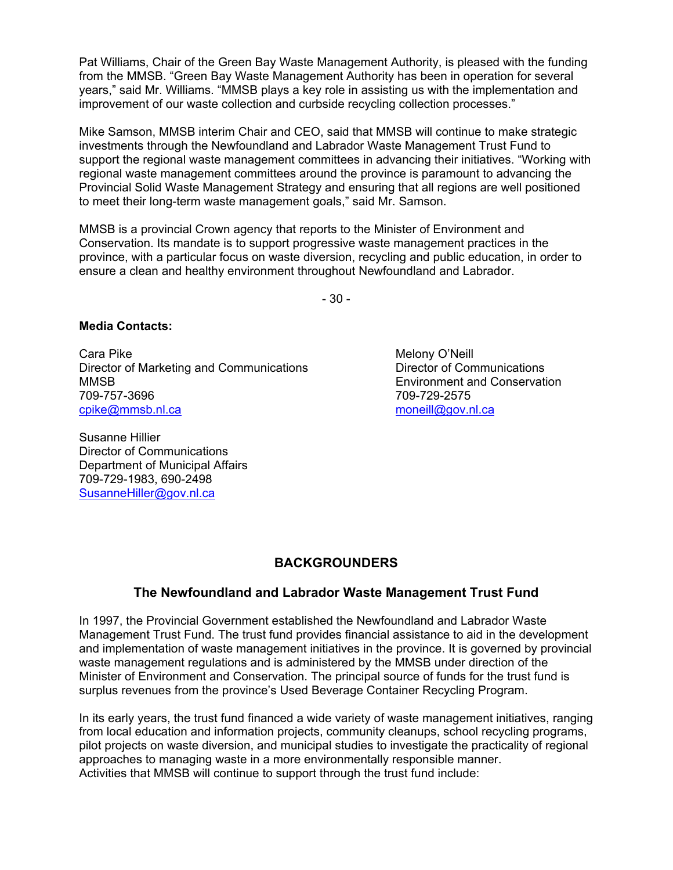Pat Williams, Chair of the Green Bay Waste Management Authority, is pleased with the funding from the MMSB. "Green Bay Waste Management Authority has been in operation for several years," said Mr. Williams. "MMSB plays a key role in assisting us with the implementation and improvement of our waste collection and curbside recycling collection processes."

Mike Samson, MMSB interim Chair and CEO, said that MMSB will continue to make strategic investments through the Newfoundland and Labrador Waste Management Trust Fund to support the regional waste management committees in advancing their initiatives. "Working with regional waste management committees around the province is paramount to advancing the Provincial Solid Waste Management Strategy and ensuring that all regions are well positioned to meet their long-term waste management goals," said Mr. Samson.

MMSB is a provincial Crown agency that reports to the Minister of Environment and Conservation. Its mandate is to support progressive waste management practices in the province, with a particular focus on waste diversion, recycling and public education, in order to ensure a clean and healthy environment throughout Newfoundland and Labrador.

- 30 -

#### **Media Contacts:**

Cara Pike Melony O'Neill Director of Marketing and Communications **Director of Communications** MMSB Environment and Conservation 709-757-3696 709-729-2575 cpike@mmsb.nl.ca moneill@gov.nl.ca

Susanne Hillier Director of Communications Department of Municipal Affairs 709-729-1983, 690-2498 SusanneHiller@gov.nl.ca

# **BACKGROUNDERS**

#### **The Newfoundland and Labrador Waste Management Trust Fund**

In 1997, the Provincial Government established the Newfoundland and Labrador Waste Management Trust Fund. The trust fund provides financial assistance to aid in the development and implementation of waste management initiatives in the province. It is governed by provincial waste management regulations and is administered by the MMSB under direction of the Minister of Environment and Conservation. The principal source of funds for the trust fund is surplus revenues from the province's Used Beverage Container Recycling Program.

In its early years, the trust fund financed a wide variety of waste management initiatives, ranging from local education and information projects, community cleanups, school recycling programs, pilot projects on waste diversion, and municipal studies to investigate the practicality of regional approaches to managing waste in a more environmentally responsible manner. Activities that MMSB will continue to support through the trust fund include: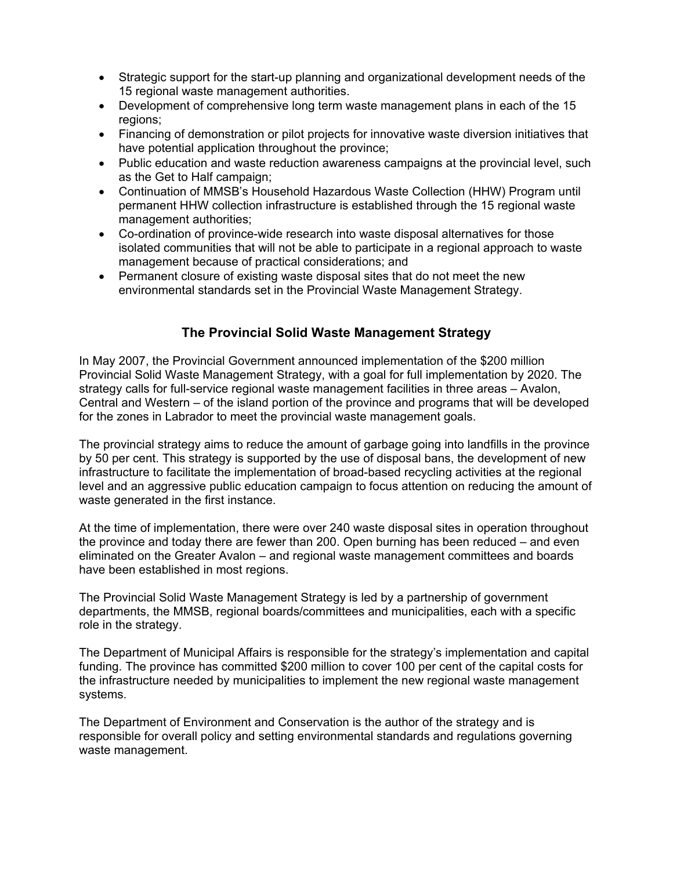- Strategic support for the start-up planning and organizational development needs of the 15 regional waste management authorities.
- Development of comprehensive long term waste management plans in each of the 15 regions;
- Financing of demonstration or pilot projects for innovative waste diversion initiatives that have potential application throughout the province;
- Public education and waste reduction awareness campaigns at the provincial level, such as the Get to Half campaign;
- Continuation of MMSB's Household Hazardous Waste Collection (HHW) Program until permanent HHW collection infrastructure is established through the 15 regional waste management authorities;
- Co-ordination of province-wide research into waste disposal alternatives for those isolated communities that will not be able to participate in a regional approach to waste management because of practical considerations; and
- Permanent closure of existing waste disposal sites that do not meet the new environmental standards set in the Provincial Waste Management Strategy.

# **The Provincial Solid Waste Management Strategy**

In May 2007, the Provincial Government announced implementation of the \$200 million Provincial Solid Waste Management Strategy, with a goal for full implementation by 2020. The strategy calls for full-service regional waste management facilities in three areas – Avalon, Central and Western – of the island portion of the province and programs that will be developed for the zones in Labrador to meet the provincial waste management goals.

The provincial strategy aims to reduce the amount of garbage going into landfills in the province by 50 per cent. This strategy is supported by the use of disposal bans, the development of new infrastructure to facilitate the implementation of broad-based recycling activities at the regional level and an aggressive public education campaign to focus attention on reducing the amount of waste generated in the first instance.

At the time of implementation, there were over 240 waste disposal sites in operation throughout the province and today there are fewer than 200. Open burning has been reduced – and even eliminated on the Greater Avalon – and regional waste management committees and boards have been established in most regions.

The Provincial Solid Waste Management Strategy is led by a partnership of government departments, the MMSB, regional boards/committees and municipalities, each with a specific role in the strategy.

The Department of Municipal Affairs is responsible for the strategy's implementation and capital funding. The province has committed \$200 million to cover 100 per cent of the capital costs for the infrastructure needed by municipalities to implement the new regional waste management systems.

The Department of Environment and Conservation is the author of the strategy and is responsible for overall policy and setting environmental standards and regulations governing waste management.